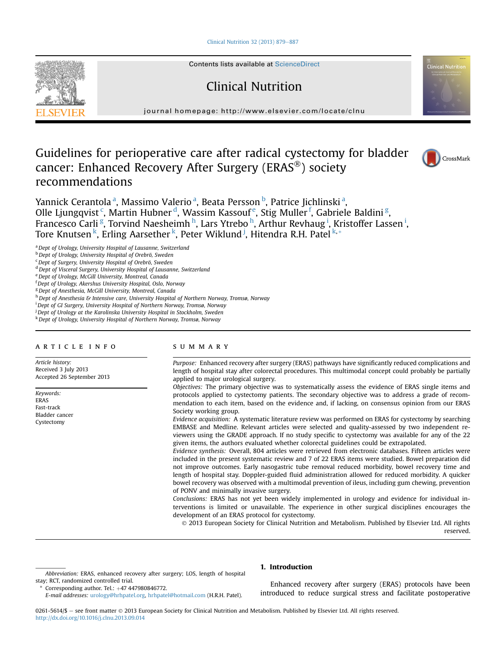#### [Clinical Nutrition 32 \(2013\) 879](http://dx.doi.org/10.1016/j.clnu.2013.09.014)-[887](http://dx.doi.org/10.1016/j.clnu.2013.09.014)



Contents lists available at ScienceDirect

# Clinical Nutrition

journal homepage:<http://www.elsevier.com/locate/clnu>

# Guidelines for perioperative care after radical cystectomy for bladder cancer: Enhanced Recovery After Surgery (ERAS<sup>®</sup>) society recommendations





Yannick Cerantola<sup>a</sup>, Massimo Valerio<sup>a</sup>, Beata Persson <sup>b</sup>, Patrice Jichlinski<sup>a</sup>, Olle Ljungqvist <sup>c</sup>, Martin Hubner <sup>d</sup>, Wassim Kassouf <sup>e</sup>, Stig Muller <sup>f</sup>, Gabriele Baldini <sup>g</sup>, Francesco Carli <sup>g</sup>, Torvind Naesheimh <sup>h</sup>, Lars Ytrebo <sup>h</sup>, Arthur Revhaug <sup>i</sup>, Kristoffer Lassen <sup>i</sup>, Tore Knutsen <sup>k</sup>, Erling Aarsether <sup>k</sup>, Peter Wiklund <sup>j</sup>, Hitendra R.H. Patel <sup>k,</sup>\*

<sup>a</sup> Dept of Urology, University Hospital of Lausanne, Switzerland

**b** Dept of Urology, University Hospital of Orebrö, Sweden

<sup>c</sup>Dept of Surgery, University Hospital of Orebrö, Sweden

<sup>d</sup> Dept of Visceral Surgery, University Hospital of Lausanne, Switzerland

e Dept of Urology, McGill University, Montreal, Canada

<sup>f</sup> Dept of Urology, Akershus University Hospital, Oslo, Norway

<sup>g</sup> Dept of Anesthesia, McGill University, Montreal, Canada

h Dept of Anesthesia & Intensive care, University Hospital of Northern Norway, Tromsø, Norway

i Dept of GI Surgery, University Hospital of Northern Norway, Tromsø, Norway

<sup>j</sup> Dept of Urology at the Karolinska University Hospital in Stockholm, Sweden

<sup>k</sup>Dept of Urology, University Hospital of Northern Norway, Tromsø, Norway

#### article info

Article history: Received 3 July 2013 Accepted 26 September 2013

Keywords: ERAS Fast-track Bladder cancer Cystectomy

## SUMMARY

Purpose: Enhanced recovery after surgery (ERAS) pathways have significantly reduced complications and length of hospital stay after colorectal procedures. This multimodal concept could probably be partially applied to major urological surgery.

Objectives: The primary objective was to systematically assess the evidence of ERAS single items and protocols applied to cystectomy patients. The secondary objective was to address a grade of recommendation to each item, based on the evidence and, if lacking, on consensus opinion from our ERAS Society working group.

Evidence acquisition: A systematic literature review was performed on ERAS for cystectomy by searching EMBASE and Medline. Relevant articles were selected and quality-assessed by two independent reviewers using the GRADE approach. If no study specific to cystectomy was available for any of the 22 given items, the authors evaluated whether colorectal guidelines could be extrapolated.

Evidence synthesis: Overall, 804 articles were retrieved from electronic databases. Fifteen articles were included in the present systematic review and 7 of 22 ERAS items were studied. Bowel preparation did not improve outcomes. Early nasogastric tube removal reduced morbidity, bowel recovery time and length of hospital stay. Doppler-guided fluid administration allowed for reduced morbidity. A quicker bowel recovery was observed with a multimodal prevention of ileus, including gum chewing, prevention of PONV and minimally invasive surgery.

Conclusions: ERAS has not yet been widely implemented in urology and evidence for individual interventions is limited or unavailable. The experience in other surgical disciplines encourages the development of an ERAS protocol for cystectomy.

 2013 European Society for Clinical Nutrition and Metabolism. Published by Elsevier Ltd. All rights reserved.

Abbreviation: ERAS, enhanced recovery after surgery; LOS, length of hospital stay; RCT, randomized controlled trial.

Corresponding author. Tel.:  $+47$  447980846772.

## 1. Introduction

Enhanced recovery after surgery (ERAS) protocols have been introduced to reduce surgical stress and facilitate postoperative

0261-5614/\$ - see front matter © 2013 European Society for Clinical Nutrition and Metabolism. Published by Elsevier Ltd. All rights reserved. <http://dx.doi.org/10.1016/j.clnu.2013.09.014>

E-mail addresses: [urology@hrhpatel.org](mailto:urology@hrhpatel.org), [hrhpatel@hotmail.com](mailto:hrhpatel@hotmail.com) (H.R.H. Patel).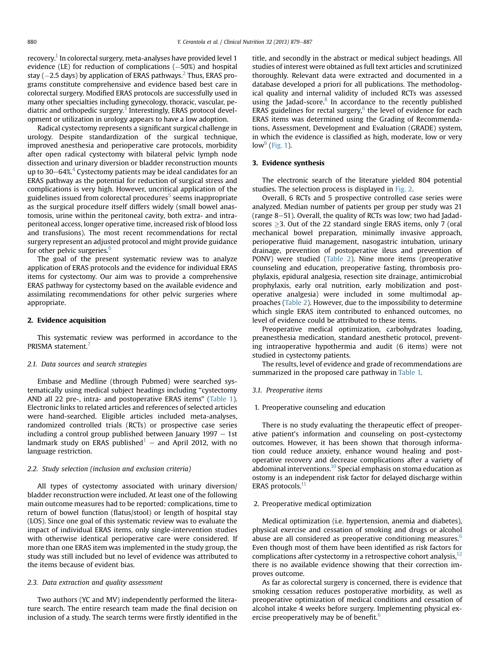recovery.<sup>[1](#page-7-0)</sup> In colorectal surgery, meta-analyses have provided level 1 evidence (LE) for reduction of complications  $(-50\%)$  and hospital stay ( $-2.5$  $-2.5$  $-2.5$  days) by application of ERAS pathways.<sup>2</sup> Thus, ERAS programs constitute comprehensive and evidence based best care in colorectal surgery. Modified ERAS protocols are successfully used in many other specialties including gynecology, thoracic, vascular, pediatric and orthopedic surgery.<sup>3</sup> Interestingly, ERAS protocol development or utilization in urology appears to have a low adoption.

Radical cystectomy represents a significant surgical challenge in urology. Despite standardization of the surgical technique, improved anesthesia and perioperative care protocols, morbidity after open radical cystectomy with bilateral pelvic lymph node dissection and urinary diversion or bladder reconstruction mounts up to  $30-64\%$  $30-64\%$  $30-64\%$ <sup>4</sup> Cystectomy patients may be ideal candidates for an ERAS pathway as the potential for reduction of surgical stress and complications is very high. However, uncritical application of the guidelines issued from colorectal procedures $5$  seems inappropriate as the surgical procedure itself differs widely (small bowel anastomosis, urine within the peritoneal cavity, both extra- and intraperitoneal access, longer operative time, increased risk of blood loss and transfusions). The most recent recommendations for rectal surgery represent an adjusted protocol and might provide guidance for other pelvic surgeries.<sup>[6](#page-7-0)</sup>

The goal of the present systematic review was to analyze application of ERAS protocols and the evidence for individual ERAS items for cystectomy. Our aim was to provide a comprehensive ERAS pathway for cystectomy based on the available evidence and assimilating recommendations for other pelvic surgeries where appropriate.

#### 2. Evidence acquisition

This systematic review was performed in accordance to the PRISMA statement.<sup>[7](#page-7-0)</sup>

#### 2.1. Data sources and search strategies

Embase and Medline (through Pubmed) were searched systematically using medical subject headings including "cystectomy AND all 22 pre-, intra- and postoperative ERAS items" ([Table 1\)](#page-2-0). Electronic links to related articles and references of selected articles were hand-searched. Eligible articles included meta-analyses, randomized controlled trials (RCTs) or prospective case series including a control group published between January  $1997 - 1$ st landmark study on ERAS published<sup>1</sup> – and April 2012, with no language restriction.

## 2.2. Study selection (inclusion and exclusion criteria)

All types of cystectomy associated with urinary diversion/ bladder reconstruction were included. At least one of the following main outcome measures had to be reported: complications, time to return of bowel function (flatus/stool) or length of hospital stay (LOS). Since one goal of this systematic review was to evaluate the impact of individual ERAS items, only single-intervention studies with otherwise identical perioperative care were considered. If more than one ERAS item was implemented in the study group, the study was still included but no level of evidence was attributed to the items because of evident bias.

## 2.3. Data extraction and quality assessment

Two authors (YC and MV) independently performed the literature search. The entire research team made the final decision on inclusion of a study. The search terms were firstly identified in the title, and secondly in the abstract or medical subject headings. All studies of interest were obtained as full text articles and scrutinized thoroughly. Relevant data were extracted and documented in a database developed a priori for all publications. The methodological quality and internal validity of included RCTs was assessed using the Jadad-score. $8$  In accordance to the recently published ERAS guidelines for rectal surgery, $6$  the level of evidence for each ERAS items was determined using the Grading of Recommendations, Assessment, Development and Evaluation (GRADE) system, in which the evidence is classified as high, moderate, low or very  $low<sup>9</sup>$  $low<sup>9</sup>$  $low<sup>9</sup>$  ([Fig. 1](#page-3-0)).

## 3. Evidence synthesis

The electronic search of the literature yielded 804 potential studies. The selection process is displayed in [Fig. 2](#page-3-0).

Overall, 6 RCTs and 5 prospective controlled case series were analyzed. Median number of patients per group per study was 21 (range  $8-51$ ). Overall, the quality of RCTs was low; two had Jadadscores  $\geq$ 3. Out of the 22 standard single ERAS items, only 7 (oral mechanical bowel preparation, minimally invasive approach, perioperative fluid management, nasogastric intubation, urinary drainage, prevention of postoperative ileus and prevention of PONV) were studied ([Table 2\)](#page-4-0). Nine more items (preoperative counseling and education, preoperative fasting, thrombosis prophylaxis, epidural analgesia, resection site drainage, antimicrobial prophylaxis, early oral nutrition, early mobilization and postoperative analgesia) were included in some multimodal approaches ([Table 2\)](#page-4-0). However, due to the impossibility to determine which single ERAS item contributed to enhanced outcomes, no level of evidence could be attributed to these items.

Preoperative medical optimization, carbohydrates loading, preanesthesia medication, standard anesthetic protocol, preventing intraoperative hypothermia and audit (6 items) were not studied in cystectomy patients.

The results, level of evidence and grade of recommendations are summarized in the proposed care pathway in [Table 1.](#page-2-0)

#### 3.1. Preoperative items

#### 1. Preoperative counseling and education

There is no study evaluating the therapeutic effect of preoperative patient's information and counseling on post-cystectomy outcomes. However, it has been shown that thorough information could reduce anxiety, enhance wound healing and postoperative recovery and decrease complications after a variety of abdominal interventions.<sup>10</sup> Special emphasis on stoma education as ostomy is an independent risk factor for delayed discharge within ERAS protocols.<sup>[11](#page-7-0)</sup>

#### 2. Preoperative medical optimization

Medical optimization (i.e. hypertension, anemia and diabetes), physical exercise and cessation of smoking and drugs or alcohol abuse are all considered as preoperative conditioning measures.<sup>6</sup> Even though most of them have been identified as risk factors for complications after cystectomy in a retrospective cohort analysis, $12$ there is no available evidence showing that their correction improves outcome.

As far as colorectal surgery is concerned, there is evidence that smoking cessation reduces postoperative morbidity, as well as preoperative optimization of medical conditions and cessation of alcohol intake 4 weeks before surgery. Implementing physical ex-ercise preoperatively may be of benefit.<sup>[6](#page-7-0)</sup>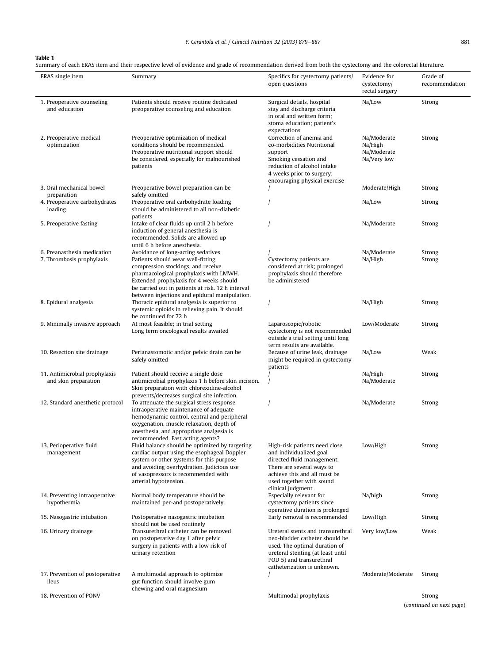## <span id="page-2-0"></span>Table 1

| ERAS single item                                      | Summary                                                                                                                                                                                                                                                            | Specifics for cystectomy patients/<br>open questions                                                                                                                                                 | Evidence for<br>cystectomy/<br>rectal surgery        | Grade of<br>recommendation<br>Strong |  |
|-------------------------------------------------------|--------------------------------------------------------------------------------------------------------------------------------------------------------------------------------------------------------------------------------------------------------------------|------------------------------------------------------------------------------------------------------------------------------------------------------------------------------------------------------|------------------------------------------------------|--------------------------------------|--|
| 1. Preoperative counseling<br>and education           | Patients should receive routine dedicated<br>preoperative counseling and education                                                                                                                                                                                 | Surgical details, hospital<br>stay and discharge criteria<br>in oral and written form;<br>stoma education; patient's<br>expectations                                                                 | Na/Low                                               |                                      |  |
| 2. Preoperative medical<br>optimization               | Preoperative optimization of medical<br>conditions should be recommended.<br>Preoperative nutritional support should<br>be considered, especially for malnourished<br>patients                                                                                     | Correction of anemia and<br>co-morbidities Nutritional<br>support<br>Smoking cessation and<br>reduction of alcohol intake<br>4 weeks prior to surgery;<br>encouraging physical exercise              | Na/Moderate<br>Na/High<br>Na/Moderate<br>Na/Very low | Strong                               |  |
| 3. Oral mechanical bowel<br>preparation               | Preoperative bowel preparation can be<br>safely omitted                                                                                                                                                                                                            |                                                                                                                                                                                                      | Moderate/High                                        | Strong                               |  |
| 4. Preoperative carbohydrates<br>loading              | Preoperative oral carbohydrate loading<br>should be administered to all non-diabetic<br>patients                                                                                                                                                                   |                                                                                                                                                                                                      | Na/Low                                               | Strong                               |  |
| 5. Preoperative fasting                               | Intake of clear fluids up until 2 h before<br>induction of general anesthesia is<br>recommended. Solids are allowed up<br>until 6 h before anesthesia.                                                                                                             |                                                                                                                                                                                                      | Na/Moderate                                          | Strong                               |  |
| 6. Preanasthesia medication                           | Avoidance of long-acting sedatives                                                                                                                                                                                                                                 |                                                                                                                                                                                                      | Na/Moderate                                          | Strong                               |  |
| 7. Thrombosis prophylaxis                             | Patients should wear well-fitting<br>compression stockings, and receive<br>pharmacological prophylaxis with LMWH.<br>Extended prophylaxis for 4 weeks should<br>be carried out in patients at risk. 12 h interval<br>between injections and epidural manipulation. | Cystectomy patients are<br>considered at risk; prolonged<br>prophylaxis should therefore<br>be administered                                                                                          | Na/High                                              | Strong                               |  |
| 8. Epidural analgesia                                 | Thoracic epidural analgesia is superior to<br>systemic opioids in relieving pain. It should<br>be continued for 72 h                                                                                                                                               |                                                                                                                                                                                                      | Na/High                                              | Strong                               |  |
| 9. Minimally invasive approach                        | At most feasible; in trial setting<br>Long term oncological results awaited                                                                                                                                                                                        | Laparoscopic/robotic<br>cystectomy is not recommended<br>outside a trial setting until long<br>term results are available.                                                                           | Low/Moderate                                         | Strong                               |  |
| 10. Resection site drainage                           | Perianastomotic and/or pelvic drain can be<br>safely omitted                                                                                                                                                                                                       | Because of urine leak, drainage<br>might be required in cystectomy<br>patients                                                                                                                       | Na/Low                                               | Weak                                 |  |
| 11. Antimicrobial prophylaxis<br>and skin preparation | Patient should receive a single dose<br>antimicrobial prophylaxis 1 h before skin incision.<br>Skin preparation with chlorexidine-alcohol<br>prevents/decreases surgical site infection.                                                                           |                                                                                                                                                                                                      | Na/High<br>Na/Moderate                               | Strong                               |  |
| 12. Standard anesthetic protocol                      | To attenuate the surgical stress response,<br>intraoperative maintenance of adequate<br>hemodynamic control, central and peripheral<br>oxygenation, muscle relaxation, depth of<br>anesthesia, and appropriate analgesia is<br>recommended. Fast acting agents?    |                                                                                                                                                                                                      | Na/Moderate                                          | Strong                               |  |
| 13. Perioperative fluid<br>management                 | Fluid balance should be optimized by targeting<br>cardiac output using the esophageal Doppler<br>system or other systems for this purpose<br>and avoiding overhydration. Judicious use<br>of vasopressors is recommended with<br>arterial hypotension.             | High-risk patients need close<br>and individualized goal<br>directed fluid management.<br>There are several ways to<br>achieve this and all must be<br>used together with sound<br>clinical judgment | Low/High                                             | Strong                               |  |
| 14. Preventing intraoperative<br>hypothermia          | Normal body temperature should be<br>maintained per-and postoperatively.                                                                                                                                                                                           | Especially relevant for<br>cystectomy patients since<br>operative duration is prolonged                                                                                                              | Na/high                                              | Strong                               |  |
| 15. Nasogastric intubation                            | Postoperative nasogastric intubation<br>should not be used routinely                                                                                                                                                                                               | Early removal is recommended                                                                                                                                                                         | Low/High                                             | Strong                               |  |
| 16. Urinary drainage                                  | Transurethral catheter can be removed<br>on postoperative day 1 after pelvic<br>surgery in patients with a low risk of<br>urinary retention                                                                                                                        | Ureteral stents and transurethral<br>neo-bladder catheter should be<br>used. The optimal duration of<br>ureteral stenting (at least until<br>POD 5) and transurethral<br>catheterization is unknown. | Very low/Low                                         | Weak                                 |  |
| 17. Prevention of postoperative<br>ileus              | A multimodal approach to optimize<br>gut function should involve gum<br>chewing and oral magnesium                                                                                                                                                                 |                                                                                                                                                                                                      | Moderate/Moderate                                    | Strong                               |  |
| 18. Prevention of PONV                                |                                                                                                                                                                                                                                                                    | Multimodal prophylaxis                                                                                                                                                                               |                                                      | Strong<br>(continued on next page)   |  |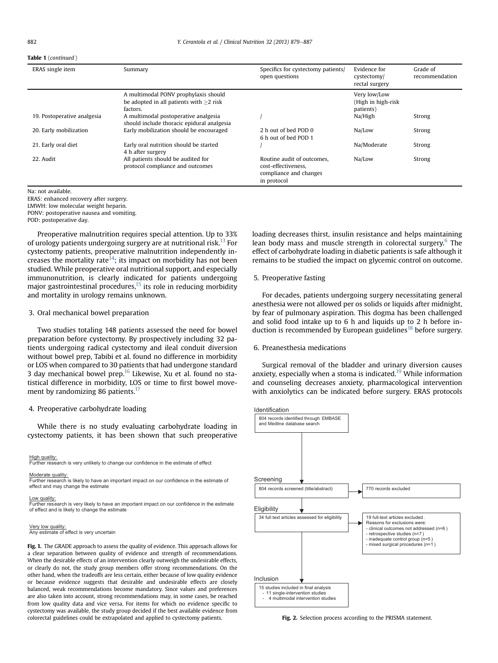#### <span id="page-3-0"></span>Table 1 (continued )

| ERAS single item            | Summary                                                                                       | Specifics for cystectomy patients/<br>open questions                                       | Evidence for<br>cystectomy/<br>rectal surgery   | Grade of<br>recommendation |  |
|-----------------------------|-----------------------------------------------------------------------------------------------|--------------------------------------------------------------------------------------------|-------------------------------------------------|----------------------------|--|
|                             | A multimodal PONV prophylaxis should<br>be adopted in all patients with $>2$ risk<br>factors. |                                                                                            | Very low/Low<br>(High in high-risk<br>patients) |                            |  |
| 19. Postoperative analgesia | A multimodal postoperative analgesia<br>should include thoracic epidural analgesia            |                                                                                            | Na/High                                         | Strong                     |  |
| 20. Early mobilization      | Early mobilization should be encouraged                                                       | 2 h out of bed POD 0<br>6 h out of bed POD 1                                               | Na/Low                                          | Strong                     |  |
| 21. Early oral diet         | Early oral nutrition should be started<br>4 h after surgery                                   |                                                                                            | Na/Moderate                                     | Strong                     |  |
| 22. Audit                   | All patients should be audited for<br>protocol compliance and outcomes                        | Routine audit of outcomes.<br>cost-effectiveness.<br>compliance and changes<br>in protocol | Na/Low                                          | Strong                     |  |

Na: not available. ERAS: enhanced recovery after surgery. LMWH: low molecular weight heparin. PONV: postoperative nausea and vomiting. POD: postoperative day.

Preoperative malnutrition requires special attention. Up to 33% of urology patients undergoing surgery are at nutritional risk.<sup>13</sup> For cystectomy patients, preoperative malnutrition independently increases the mortality rate<sup>14</sup>; its impact on morbidity has not been studied. While preoperative oral nutritional support, and especially immunonutrition, is clearly indicated for patients undergoing major gastrointestinal procedures, $15$  its role in reducing morbidity and mortality in urology remains unknown.

## 3. Oral mechanical bowel preparation

Two studies totaling 148 patients assessed the need for bowel preparation before cystectomy. By prospectively including 32 patients undergoing radical cystectomy and ileal conduit diversion without bowel prep, Tabibi et al. found no difference in morbidity or LOS when compared to 30 patients that had undergone standard 3 day mechanical bowel prep. $^{16}$  $^{16}$  $^{16}$  Likewise, Xu et al. found no statistical difference in morbidity, LOS or time to first bowel movement by randomizing 86 patients. $^{17}$  $^{17}$  $^{17}$ 

#### 4. Preoperative carbohydrate loading

While there is no study evaluating carbohydrate loading in cystectomy patients, it has been shown that such preoperative

#### High quality:

Further research is very unlikely to change our confidence in the estimate of effect

#### Moderate quality:

Further research is likely to have an important impact on our confidence in the estimate of effect and may change the estimate

Low quality: Further research is very likely to have an important impact on our confidence in the estimate of effect and is likely to change the estimate

#### Very low quality:

Any estimate of effect is very uncertain

Fig. 1. The GRADE approach to assess the quality of evidence. This approach allows for a clear separation between quality of evidence and strength of recommendations. When the desirable effects of an intervention clearly outweigh the undesirable effects, or clearly do not, the study group members offer strong recommendations. On the other hand, when the tradeoffs are less certain, either because of low quality evidence or because evidence suggests that desirable and undesirable effects are closely balanced, weak recommendations become mandatory. Since values and preferences are also taken into account, strong recommendations may, in some cases, be reached from low quality data and vice versa. For items for which no evidence specific to cystectomy was available, the study group decided if the best available evidence from colorectal guidelines could be extrapolated and applied to cystectomy patients.

loading decreases thirst, insulin resistance and helps maintaining lean body mass and muscle strength in colorectal surgery.<sup>[6](#page-7-0)</sup> The effect of carbohydrate loading in diabetic patients is safe although it remains to be studied the impact on glycemic control on outcome.

## 5. Preoperative fasting

For decades, patients undergoing surgery necessitating general anesthesia were not allowed per os solids or liquids after midnight, by fear of pulmonary aspiration. This dogma has been challenged and solid food intake up to 6 h and liquids up to 2 h before induction is recommended by European guidelines<sup>18</sup> before surgery.

#### 6. Preanesthesia medications

Surgical removal of the bladder and urinary diversion causes anxiety, especially when a stoma is indicated.<sup>19</sup> While information and counseling decreases anxiety, pharmacological intervention with anxiolytics can be indicated before surgery. ERAS protocols



Fig. 2. Selection process according to the PRISMA statement.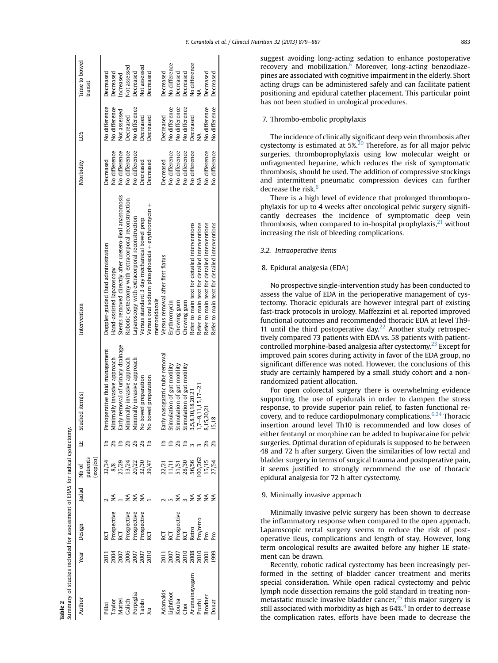<span id="page-4-0"></span>

|                                                                                       | Time to bowel<br>transit         | Decreased                           | Decreased<br>Increased                                                               | Not assessed                                         | Decreased                                    | <b>Vot</b> assessed                         | Decreased                                                        | Decreased                         | No difference                                       | Decreased                   | Decreased                   | No difference                                 | ≸                                             | Decreased                                     | Decreased                                     |
|---------------------------------------------------------------------------------------|----------------------------------|-------------------------------------|--------------------------------------------------------------------------------------|------------------------------------------------------|----------------------------------------------|---------------------------------------------|------------------------------------------------------------------|-----------------------------------|-----------------------------------------------------|-----------------------------|-----------------------------|-----------------------------------------------|-----------------------------------------------|-----------------------------------------------|-----------------------------------------------|
|                                                                                       | <b>COT</b>                       | No difference                       | No difference<br>Not assessed                                                        | Decreased                                            | No difference                                | Decreased                                   | Decreased                                                        | Decreased                         | No difference                                       | No difference               | No difference               | Decreased                                     | ≸                                             | No difference                                 | No difference                                 |
|                                                                                       | Morbidity                        | Decreased                           | No difference<br>No difference                                                       | No difference                                        | No difference                                | Decreased                                   | Decreased                                                        | Decreased                         | No difference                                       | No difference               | No difference               | No difference                                 | ≸                                             | No difference                                 | No difference                                 |
|                                                                                       | Intervention                     | Doppler-guided fluid administration | Stents removed directly after uretero-ileal anastomosis<br>Hand-assisted laparoscopy | Robotic cystectomy with extracorporal reconstruction | aparoscopy with extracorporal reconstruction | Versus standard 3 day mechanical bowel prep | Versus oral sodium phosphosoda + erythromycin +<br>metronidazole | Versus removal after first flatus | Erythromycin                                        | Chewing gum                 | Chewing gum                 | Refer to main text for detailed interventions | Refer to main text for detailed interventions | Refer to main text for detailed interventions | Refer to main text for detailed interventions |
|                                                                                       | Studied item(s)                  | Perioperative fluid management      | Early removal of urinary drainage<br>Minimally invasive approach                     | Minimally invasive approach<br>おおおせ                  | Minimally invasive approach                  | No bowel preparation                        | No bowel preparation                                             | Early nasogastric tube removal    | Stimulation of gut motility                         | Stimulation of gut motility | Stimulation of gut motility | 3,5,8,10,18,20,21                             | $1,7-9,11,15,17-21$                           | 8,15,20,21                                    | 15,18                                         |
|                                                                                       | patients<br>$\exp$ (co)<br>Nb of | 32/34                               | 8/8<br>25/23<br>13/24<br>20/23<br>39/47                                              |                                                      |                                              |                                             |                                                                  |                                   | 22/21<br>11/11<br>51/51<br>58/56<br>50/262<br>15/15 |                             |                             |                                               |                                               |                                               | 27/54                                         |
|                                                                                       | ladad                            |                                     |                                                                                      | ≨                                                    | ₹                                            | ≨                                           |                                                                  |                                   |                                                     |                             |                             | $\S$ m $\Sigma$                               | ž                                             | $\tilde{z}$                                   | ≨                                             |
|                                                                                       | Design                           |                                     | <b>Prospective</b>                                                                   | rospective                                           | rospective                                   | Prospective<br>RCT                          |                                                                  |                                   |                                                     | rospective                  |                             | <b>Retro</b>                                  | <sup>p</sup> ro/retro                         |                                               |                                               |
|                                                                                       | Year                             |                                     | 2004<br>2005<br>2007<br>2010<br>2010                                                 |                                                      |                                              |                                             |                                                                  |                                   | 2017<br>2007<br>2008<br>2008<br>2008                |                             |                             |                                               |                                               |                                               | 1999                                          |
| Summary of studies included for assessment of ERAS for radical cystectomy.<br>Cable 2 | Author                           | Pillai                              | Taylor<br>Mattei<br>Galich                                                           |                                                      | Porpiglia                                    | <b>Tabibi</b>                               |                                                                  |                                   | Adamakis<br>Lightfoot                               | Kouba                       | Choi                        | Arumainayagan                                 | Pruthi                                        | Brodner                                       | Donat                                         |

suggest avoiding long-acting sedation to enhance postoperative recovery and mobilization.<sup>6</sup> Moreover, long-acting benzodiazepines are associated with cognitive impairment in the elderly. Short acting drugs can be administered safely and can facilitate patient positioning and epidural catether placement. This particular point has not been studied in urological procedures.

## 7. Thrombo-embolic prophylaxis

The incidence of clinically significant deep vein thrombosis after cystectomy is estimated at  $5\frac{\cancel{20}}{2}$  $5\frac{\cancel{20}}{2}$  $5\frac{\cancel{20}}{2}$  Therefore, as for all major pelvic surgeries, thromboprophylaxis using low molecular weight or unfragmented heparine, which reduces the risk of symptomatic thrombosis, should be used. The addition of compressive stockings and intermittent pneumatic compression devices can further decrease the risk.<sup>[6](#page-7-0)</sup>

There is a high level of evidence that prolonged thromboprophylaxis for up to 4 weeks after oncological pelvic surgery significantly decreases the incidence of symptomatic deep vein thrombosis, when compared to in-hospital prophylaxis, $^{21}$  $^{21}$  $^{21}$  without increasing the risk of bleeding complications.

#### 3.2. Intraoperative items

## 8. Epidural analgesia (EDA)

No prospective single-intervention study has been conducted to assess the value of EDA in the perioperative management of cystectomy. Thoracic epidurals are however integral part of existing fast-track protocols in urology. Maffezzini et al. reported improved functional outcomes and recommended thoracic EDA at level Th9- 11 until the third postoperative day.<sup>[22](#page-7-0)</sup> Another study retrospectively compared 73 patients with EDA vs. 58 patients with patientcontrolled morphine-based analgesia after cystectomy.<sup>23</sup> Except for improved pain scores during activity in favor of the EDA group, no significant difference was noted. However, the conclusions of this study are certainly hampered by a small study cohort and a nonrandomized patient allocation.

For open colorectal surgery there is overwhelming evidence supporting the use of epidurals in order to dampen the stress response, to provide superior pain relief, to fasten functional recovery, and to reduce cardiopulmonary complications.  $6,24$  Thoracic insertion around level Th10 is recommended and low doses of either fentanyl or morphine can be added to bupivacaine for pelvic surgeries. Optimal duration of epidurals is supposed to be between 48 and 72 h after surgery. Given the similarities of low rectal and bladder surgery in terms of surgical trauma and postoperative pain, it seems justified to strongly recommend the use of thoracic epidural analgesia for 72 h after cystectomy.

## 9. Minimally invasive approach

Minimally invasive pelvic surgery has been shown to decrease the inflammatory response when compared to the open approach. Laparoscopic rectal surgery seems to reduce the risk of postoperative ileus, complications and length of stay. However, long term oncological results are awaited before any higher LE statement can be drawn.

Recently, robotic radical cystectomy has been increasingly performed in the setting of bladder cancer treatment and merits special consideration. While open radical cystectomy and pelvic lymph node dissection remains the gold standard in treating nonmetastatic muscle invasive bladder cancer, $^{25}$  $^{25}$  $^{25}$  this major surgery is still associated with morbidity as high as  $64\% ^{4}$  $64\% ^{4}$  $64\% ^{4}$  In order to decrease the complication rates, efforts have been made to decrease the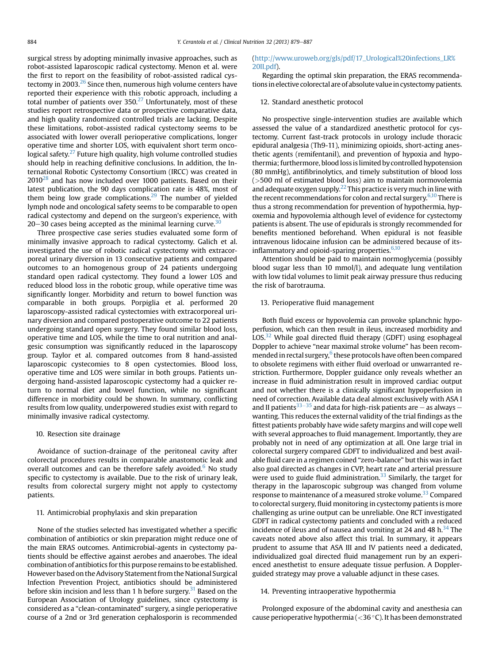surgical stress by adopting minimally invasive approaches, such as robot-assisted laparoscopic radical cystectomy. Menon et al. were the first to report on the feasibility of robot-assisted radical cystectomy in 2003. $26$  Since then, numerous high volume centers have reported their experience with this robotic approach, including a total number of patients over  $350<sup>27</sup>$  $350<sup>27</sup>$  $350<sup>27</sup>$  Unfortunately, most of these studies report retrospective data or prospective comparative data, and high quality randomized controlled trials are lacking. Despite these limitations, robot-assisted radical cystectomy seems to be associated with lower overall perioperative complications, longer operative time and shorter LOS, with equivalent short term oncological safety. $27$  Future high quality, high volume controlled studies should help in reaching definitive conclusions. In addition, the International Robotic Cystectomy Consortium (IRCC) was created in  $2010^{28}$  $2010^{28}$  $2010^{28}$  and has now included over 1000 patients. Based on their latest publication, the 90 days complication rate is 48%, most of them being low grade complications.<sup>[29](#page-7-0)</sup> The number of yielded lymph node and oncological safety seems to be comparable to open radical cystectomy and depend on the surgeon's experience, with 20 $-30$  $-30$  cases being accepted as the minimal learning curve.<sup>30</sup>

Three prospective case series studies evaluated some form of minimally invasive approach to radical cystectomy. Galich et al. investigated the use of robotic radical cystectomy with extracorporeal urinary diversion in 13 consecutive patients and compared outcomes to an homogenous group of 24 patients undergoing standard open radical cystectomy. They found a lower LOS and reduced blood loss in the robotic group, while operative time was significantly longer. Morbidity and return to bowel function was comparable in both groups. Porpiglia et al. performed 20 laparoscopy-assisted radical cystectomies with extracorporeal urinary diversion and compared postoperative outcome to 22 patients undergoing standard open surgery. They found similar blood loss, operative time and LOS, while the time to oral nutrition and analgesic consumption was significantly reduced in the laparoscopy group. Taylor et al. compared outcomes from 8 hand-assisted laparoscopic cystecomies to 8 open cystectomies. Blood loss, operative time and LOS were similar in both groups. Patients undergoing hand-assisted laparoscopic cystectomy had a quicker return to normal diet and bowel function, while no significant difference in morbidity could be shown. In summary, conflicting results from low quality, underpowered studies exist with regard to minimally invasive radical cystectomy.

#### 10. Resection site drainage

Avoidance of suction-drainage of the peritoneal cavity after colorectal procedures results in comparable anastomotic leak and overall outcomes and can be therefore safely avoided. $6$  No study specific to cystectomy is available. Due to the risk of urinary leak, results from colorectal surgery might not apply to cystectomy patients.

#### 11. Antimicrobial prophylaxis and skin preparation

None of the studies selected has investigated whether a specific combination of antibiotics or skin preparation might reduce one of the main ERAS outcomes. Antimicrobial-agents in cystectomy patients should be effective against aerobes and anaerobes. The ideal combination of antibiotics for this purpose remains to be established. However based on the Advisory Statement from the National Surgical Infection Prevention Project, antibiotics should be administered before skin incision and less than 1 h before surgery.<sup>31</sup> Based on the European Association of Urology guidelines, since cystectomy is considered as a "clean-contaminated" surgery, a single perioperative course of a 2nd or 3rd generation cephalosporin is recommended

## ([http://www.uroweb.org/gls/pdf/17\\_Urological%20infections\\_LR%](http://www.uroweb.org/gls/pdf/17_Urological%20infections_LR%20II.pdf) [20II.pdf](http://www.uroweb.org/gls/pdf/17_Urological%20infections_LR%20II.pdf)).

Regarding the optimal skin preparation, the ERAS recommendations in elective colorectal are of absolute value in cystectomy patients.

## 12. Standard anesthetic protocol

No prospective single-intervention studies are available which assessed the value of a standardized anesthetic protocol for cystectomy. Current fast-track protocols in urology include thoracic epidural analgesia (Th9-11), minimizing opioids, short-acting anesthetic agents (remifentanil), and prevention of hypoxia and hypothermia; furthermore, blood loss is limited by controlled hypotension (80 mmHg), antifibrinolytics, and timely substitution of blood loss (>500 ml of estimated blood loss) aim to maintain normovolemia and adequate oxygen supply.<sup>22</sup> This practice is very much in line with the recent recommendations for colon and rectal surgery. $6,10$  There is thus a strong recommendation for prevention of hypothermia, hypoxemia and hypovolemia although level of evidence for cystectomy patients is absent. The use of epidurals is strongly recommended for benefits mentioned beforehand. When epidural is not feasible intravenous lidocaine infusion can be administered because of its-inflammatory and opioid-sparing properties.<sup>[6,10](#page-7-0)</sup>

Attention should be paid to maintain normoglycemia (possibly blood sugar less than 10 mmol/l), and adequate lung ventilation with low tidal volumes to limit peak airway pressure thus reducing the risk of barotrauma.

## 13. Perioperative fluid management

Both fluid excess or hypovolemia can provoke splanchnic hypoperfusion, which can then result in ileus, increased morbidity and  $LOS<sup>32</sup>$  $LOS<sup>32</sup>$  $LOS<sup>32</sup>$  While goal directed fluid therapy (GDFT) using esophageal Doppler to achieve "near maximal stroke volume" has been recommended in rectal surgery,<sup>6</sup> these protocols have often been compared to obsolete regimens with either fluid overload or unwarranted restriction. Furthermore, Doppler guidance only reveals whether an increase in fluid administration result in improved cardiac output and not whether there is a clinically significant hypoperfusion in need of correction. Available data deal almost exclusively with ASA I and II patients $^{33-35}$  $^{33-35}$  $^{33-35}$  and data for high-risk patients are – as always – wanting. This reduces the external validity of the trial findings as the fittest patients probably have wide safety margins and will cope well with several approaches to fluid management. Importantly, they are probably not in need of any optimization at all. One large trial in colorectal surgery compared GDFT to individualized and best available fluid care in a regimen coined "zero-balance" but this was in fact also goal directed as changes in CVP, heart rate and arterial pressure were used to guide fluid administration.<sup>[33](#page-7-0)</sup> Similarly, the target for therapy in the laparoscopic subgroup was changed from volume response to maintenance of a measured stroke volume.<sup>[33](#page-7-0)</sup> Compared to colorectal surgery, fluid monitoring in cystectomy patients is more challenging as urine output can be unreliable. One RCT investigated GDFT in radical cystectomy patients and concluded with a reduced incidence of ileus and of nausea and vomiting at 24 and 48 h. $34$  The caveats noted above also affect this trial. In summary, it appears prudent to assume that ASA III and IV patients need a dedicated, individualized goal directed fluid management run by an experienced anesthetist to ensure adequate tissue perfusion. A Dopplerguided strategy may prove a valuable adjunct in these cases.

## 14. Preventing intraoperative hypothermia

Prolonged exposure of the abdominal cavity and anesthesia can cause perioperative hypothermia ( $<$ 36 °C). It has been demonstrated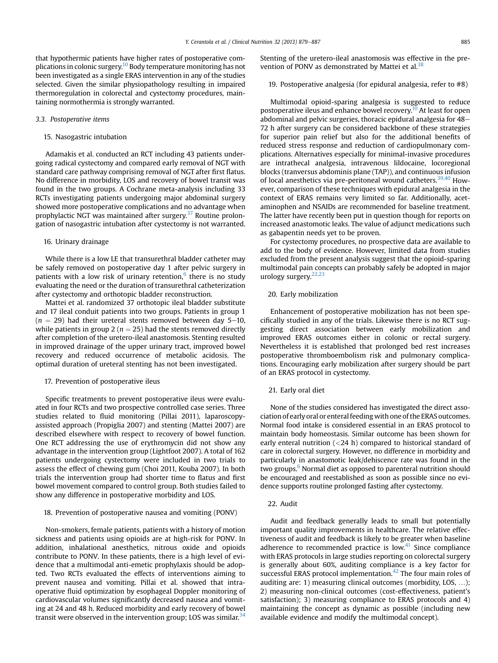that hypothermic patients have higher rates of postoperative com-plications in colonic surgery.<sup>[10](#page-7-0)</sup> Body temperature monitoring has not been investigated as a single ERAS intervention in any of the studies selected. Given the similar physiopathology resulting in impaired thermoregulation in colorectal and cystectomy procedures, maintaining normothermia is strongly warranted.

## 3.3. Postoperative items

#### 15. Nasogastric intubation

Adamakis et al. conducted an RCT including 43 patients undergoing radical cystectomy and compared early removal of NGT with standard care pathway comprising removal of NGT after first flatus. No difference in morbidity, LOS and recovery of bowel transit was found in the two groups. A Cochrane meta-analysis including 33 RCTs investigating patients undergoing major abdominal surgery showed more postoperative complications and no advantage when prophylactic NGT was maintained after surgery.<sup>[37](#page-8-0)</sup> Routine prolongation of nasogastric intubation after cystectomy is not warranted.

#### 16. Urinary drainage

While there is a low LE that transurethral bladder catheter may be safely removed on postoperative day 1 after pelvic surgery in patients with a low risk of urinary retention, $6$  there is no study evaluating the need or the duration of transurethral catheterization after cystectomy and orthotopic bladder reconstruction.

Mattei et al. randomized 37 orthotopic ileal bladder substitute and 17 ileal conduit patients into two groups. Patients in group 1  $(n = 29)$  had their ureteral stents removed between day 5–10, while patients in group 2 ( $n = 25$ ) had the stents removed directly after completion of the uretero-ileal anastomosis. Stenting resulted in improved drainage of the upper urinary tract, improved bowel recovery and reduced occurrence of metabolic acidosis. The optimal duration of ureteral stenting has not been investigated.

## 17. Prevention of postoperative ileus

Specific treatments to prevent postoperative ileus were evaluated in four RCTs and two prospective controlled case series. Three studies related to fluid monitoring (Pillai 2011), laparoscopyassisted approach (Propiglia 2007) and stenting (Mattei 2007) are described elsewhere with respect to recovery of bowel function. One RCT addressing the use of erythromycin did not show any advantage in the intervention group (Lightfoot 2007). A total of 162 patients undergoing cystectomy were included in two trials to assess the effect of chewing gum (Choi 2011, Kouba 2007). In both trials the intervention group had shorter time to flatus and first bowel movement compared to control group. Both studies failed to show any difference in postoperative morbidity and LOS.

#### 18. Prevention of postoperative nausea and vomiting (PONV)

Non-smokers, female patients, patients with a history of motion sickness and patients using opioids are at high-risk for PONV. In addition, inhalational anesthetics, nitrous oxide and opioids contribute to PONV. In these patients, there is a high level of evidence that a multimodal anti-emetic prophylaxis should be adopted. Two RCTs evaluated the effects of interventions aiming to prevent nausea and vomiting. Pillai et al. showed that intraoperative fluid optimization by esophageal Doppler monitoring of cardiovascular volumes significantly decreased nausea and vomiting at 24 and 48 h. Reduced morbidity and early recovery of bowel transit were observed in the intervention group; LOS was similar.<sup>[34](#page-8-0)</sup>

Stenting of the uretero-ileal anastomosis was effective in the prevention of PONV as demonstrated by Mattei et al.  $38$ 

19. Postoperative analgesia (for epidural analgesia, refer to #8)

Multimodal opioid-sparing analgesia is suggested to reduce postoperative ileus and enhance bowel recovery.<sup>10</sup> At least for open abdominal and pelvic surgeries, thoracic epidural analgesia for  $48-$ 72 h after surgery can be considered backbone of these strategies for superior pain relief but also for the additional benefits of reduced stress response and reduction of cardiopulmonary complications. Alternatives especially for minimal-invasive procedures are intrathecal analgesia, intravenous lildocaine, locoregional blocks (tranversus abdominis plane (TAP)), and continuous infusion of local anesthetics via pre-peritoneal wound catheters.<sup>[39,40](#page-8-0)</sup> However, comparison of these techniques with epidural analgesia in the context of ERAS remains very limited so far. Additionally, acetaminophen and NSAIDs are recommended for baseline treatment. The latter have recently been put in question though for reports on increased anastomotic leaks. The value of adjunct medications such as gabapentin needs yet to be proven.

For cystectomy procedures, no prospective data are available to add to the body of evidence. However, limited data from studies excluded from the present analysis suggest that the opioid-sparing multimodal pain concepts can probably safely be adopted in major urology surgery.[22,23](#page-7-0)

#### 20. Early mobilization

Enhancement of postoperative mobilization has not been specifically studied in any of the trials. Likewise there is no RCT suggesting direct association between early mobilization and improved ERAS outcomes either in colonic or rectal surgery. Nevertheless it is established that prolonged bed rest increases postoperative thromboembolism risk and pulmonary complications. Encouraging early mobilization after surgery should be part of an ERAS protocol in cystectomy.

#### 21. Early oral diet

None of the studies considered has investigated the direct association of early oral or enteral feeding with one of the ERAS outcomes. Normal food intake is considered essential in an ERAS protocol to maintain body homeostasis. Similar outcome has been shown for early enteral nutrition (<24 h) compared to historical standard of care in colorectal surgery. However, no difference in morbidity and particularly in anastomotic leak/dehiscence rate was found in the two groups.<sup>[6](#page-7-0)</sup> Normal diet as opposed to parenteral nutrition should be encouraged and reestablished as soon as possible since no evidence supports routine prolonged fasting after cystectomy.

#### 22. Audit

Audit and feedback generally leads to small but potentially important quality improvements in healthcare. The relative effectiveness of audit and feedback is likely to be greater when baseline adherence to recommended practice is low. $41$  Since compliance with ERAS protocols in large studies reporting on colorectal surgery is generally about 60%, auditing compliance is a key factor for successful ERAS protocol implementation.<sup>[42](#page-8-0)</sup> The four main roles of auditing are: 1) measuring clinical outcomes (morbidity, LOS, ...); 2) measuring non-clinical outcomes (cost-effectiveness, patient's satisfaction); 3) measuring compliance to ERAS protocols and 4) maintaining the concept as dynamic as possible (including new available evidence and modify the multimodal concept).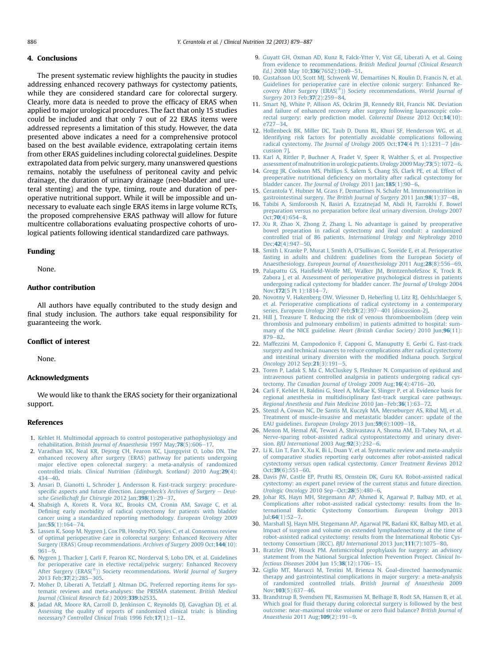## <span id="page-7-0"></span>4. Conclusions

The present systematic review highlights the paucity in studies addressing enhanced recovery pathways for cystectomy patients, while they are considered standard care for colorectal surgery. Clearly, more data is needed to prove the efficacy of ERAS when applied to major urological procedures. The fact that only 15 studies could be included and that only 7 out of 22 ERAS items were addressed represents a limitation of this study. However, the data presented above indicates a need for a comprehensive protocol based on the best available evidence, extrapolating certain items from other ERAS guidelines including colorectal guidelines. Despite extrapolated data from pelvic surgery, many unanswered questions remains, notably the usefulness of peritoneal cavity and pelvic drainage, the duration of urinary drainage (neo-bladder and ureteral stenting) and the type, timing, route and duration of peroperative nutritional support. While it will be impossible and unnecessary to evaluate each single ERAS items in large volume RCTs, the proposed comprehensive ERAS pathway will allow for future multicentre collaborations evaluating prospective cohorts of urological patients following identical standardized care pathways.

## Funding

None.

## Author contribution

All authors have equally contributed to the study design and final study inclusion. The authors take equal responsibility for guaranteeing the work.

#### Conflict of interest

None.

## Acknowledgments

We would like to thank the ERAS society for their organizational support.

#### References

- 1. [Kehlet H. Multimodal approach to control postoperative pathophysiology and](http://refhub.elsevier.com/S0261-5614(13)00254-9/sref1) rehabilitation. [British Journal of Anaesthesia](http://refhub.elsevier.com/S0261-5614(13)00254-9/sref1) 1997 May:  $78(5)$ : 606-[17](http://refhub.elsevier.com/S0261-5614(13)00254-9/sref1).
- 2. [Varadhan KK, Neal KR, Dejong CH, Fearon KC, Ljungqvist O, Lobo DN. The](http://refhub.elsevier.com/S0261-5614(13)00254-9/sref2) [enhanced recovery after surgery \(ERAS\) pathway for patients undergoing](http://refhub.elsevier.com/S0261-5614(13)00254-9/sref2) [major elective open colorectal surgery: a meta-analysis of randomized](http://refhub.elsevier.com/S0261-5614(13)00254-9/sref2)<br>controlled trials. *[Clinical Nutrition \(Edinburgh, Scotland\)](http://refhub.elsevier.com/S0261-5614(13)00254-9/sref2)* 2010 Aug;**29**(4):  $434 - 40$  $434 - 40$
- 3. [Ansari D, Gianotti L, Schroder J, Andersson R. Fast-track surgery: procedure](http://refhub.elsevier.com/S0261-5614(13)00254-9/sref3)specifi[c aspects and future direction.](http://refhub.elsevier.com/S0261-5614(13)00254-9/sref3) Langenbeck's Archives of Surgery  $-$  [Deut](http://refhub.elsevier.com/S0261-5614(13)00254-9/sref3)[sche Gesellschaft fur Chirurgie](http://refhub.elsevier.com/S0261-5614(13)00254-9/sref3) 2012 Jan;398(1):29-[37.](http://refhub.elsevier.com/S0261-5614(13)00254-9/sref3)
- 4. [Shabsigh A, Korets R, Vora KC, Brooks CM, Cronin AM, Savage C, et al.](http://refhub.elsevier.com/S0261-5614(13)00254-9/sref4) Defi[ning early morbidity of radical cystectomy for patients with bladder](http://refhub.elsevier.com/S0261-5614(13)00254-9/sref4) [cancer using a standardized reporting methodology.](http://refhub.elsevier.com/S0261-5614(13)00254-9/sref4) *European Urology* 2009<br>Jan;**55**[\(1\):164](http://refhub.elsevier.com/S0261-5614(13)00254-9/sref4)–74
- 5. [Lassen K, Soop M, Nygren J, Cox PB, Hendry PO, Spies C, et al. Consensus review](http://refhub.elsevier.com/S0261-5614(13)00254-9/sref5) [of optimal perioperative care in colorectal surgery: Enhanced Recovery After](http://refhub.elsevier.com/S0261-5614(13)00254-9/sref5) [Surgery \(ERAS\) Group recommendations.](http://refhub.elsevier.com/S0261-5614(13)00254-9/sref5) Archives of Surgery 2009 Oct;144(10):  $961 - 9$  $961 - 9$
- 6. [Nygren J, Thacker J, Carli F, Fearon KC, Norderval S, Lobo DN, et al. Guidelines](http://refhub.elsevier.com/S0261-5614(13)00254-9/sref6) [for perioperative care in elective rectal/pelvic surgery: Enhanced Recovery](http://refhub.elsevier.com/S0261-5614(13)00254-9/sref6) [After](http://refhub.elsevier.com/S0261-5614(13)00254-9/sref6) [Surgery](http://refhub.elsevier.com/S0261-5614(13)00254-9/sref6) [\(ERAS\(](http://refhub.elsevier.com/S0261-5614(13)00254-9/sref6)®[\)\) Society recommendations.](http://refhub.elsevier.com/S0261-5614(13)00254-9/sref6) World Journal of Surgery<br>[2013 Feb;](http://refhub.elsevier.com/S0261-5614(13)00254-9/sref6)37(2):285–[305](http://refhub.elsevier.com/S0261-5614(13)00254-9/sref6).
- 7. [Moher D, Liberati A, Tetzlaff J, Altman DG. Preferred reporting items for sys](http://refhub.elsevier.com/S0261-5614(13)00254-9/sref7)[tematic reviews and meta-analyses: the PRISMA statement.](http://refhub.elsevier.com/S0261-5614(13)00254-9/sref7) British Medical [Journal \(Clinical Research Ed.\)](http://refhub.elsevier.com/S0261-5614(13)00254-9/sref7) 2009;339:b2535.
- 8. [Jadad AR, Moore RA, Carroll D, Jenkinson C, Reynolds DJ, Gavaghan DJ, et al.](http://refhub.elsevier.com/S0261-5614(13)00254-9/sref8) [Assessing the quality of reports of randomized clinical trials: is blinding](http://refhub.elsevier.com/S0261-5614(13)00254-9/sref8) necessary? [Controlled Clinical Trials](http://refhub.elsevier.com/S0261-5614(13)00254-9/sref8) 1996 Feb;17(1):1-[12.](http://refhub.elsevier.com/S0261-5614(13)00254-9/sref8)
- 9. [Guyatt GH, Oxman AD, Kunz R, Falck-Ytter Y, Vist GE, Liberati A, et al. Going](http://refhub.elsevier.com/S0261-5614(13)00254-9/sref9) from evidence to recommendations. [British Medical Journal \(Clinical Research](http://refhub.elsevier.com/S0261-5614(13)00254-9/sref9) Ed.) [2008 May 10;](http://refhub.elsevier.com/S0261-5614(13)00254-9/sref9)336(7652):1049-[51.](http://refhub.elsevier.com/S0261-5614(13)00254-9/sref9)
- 10. [Gustafsson UO, Scott MJ, Schwenk W, Demartines N, Roulin D, Francis N, et al.](http://refhub.elsevier.com/S0261-5614(13)00254-9/sref10) [Guidelines for perioperative care in elective colonic surgery: Enhanced Re](http://refhub.elsevier.com/S0261-5614(13)00254-9/sref10)[covery](http://refhub.elsevier.com/S0261-5614(13)00254-9/sref10) [After](http://refhub.elsevier.com/S0261-5614(13)00254-9/sref10) [Surgery](http://refhub.elsevier.com/S0261-5614(13)00254-9/sref10) [\(ERAS\(](http://refhub.elsevier.com/S0261-5614(13)00254-9/sref10)®[\)\) Society recommendations.](http://refhub.elsevier.com/S0261-5614(13)00254-9/sref10) World Journal of Surgery [2013 Feb;](http://refhub.elsevier.com/S0261-5614(13)00254-9/sref10)  $37(2)$ : 259-[84](http://refhub.elsevier.com/S0261-5614(13)00254-9/sref10).
- 11. [Smart NJ, White P, Allison AS, Ockrim JB, Kennedy RH, Francis NK. Deviation](http://refhub.elsevier.com/S0261-5614(13)00254-9/sref11) [and failure of enhanced recovery after surgery following laparoscopic colo](http://refhub.elsevier.com/S0261-5614(13)00254-9/sref11)[rectal surgery: early prediction model.](http://refhub.elsevier.com/S0261-5614(13)00254-9/sref11) Colorectal Disease 2012 Oct;14(10): [e727](http://refhub.elsevier.com/S0261-5614(13)00254-9/sref11)-[34](http://refhub.elsevier.com/S0261-5614(13)00254-9/sref11).
- 12. [Hollenbeck BK, Miller DC, Taub D, Dunn RL, Khuri SF, Henderson WG, et al.](http://refhub.elsevier.com/S0261-5614(13)00254-9/sref12) [Identifying risk factors for potentially avoidable complications following](http://refhub.elsevier.com/S0261-5614(13)00254-9/sref12) radical cystectomy. [The Journal of Urology](http://refhub.elsevier.com/S0261-5614(13)00254-9/sref12) 2005 Oct; 174(4 Pt 1):1231-[7 \[dis](http://refhub.elsevier.com/S0261-5614(13)00254-9/sref12)[cussion 7\].](http://refhub.elsevier.com/S0261-5614(13)00254-9/sref12)
- 13. [Karl A, Rittler P, Buchner A, Fradet V, Speer R, Walther S, et al. Prospective](http://refhub.elsevier.com/S0261-5614(13)00254-9/sref13) assessment of malnutrition in urologic patients. Urology 2009 May:  $73(5)$ : 1072-[6](http://refhub.elsevier.com/S0261-5614(13)00254-9/sref13).
- 14. [Gregg JR, Cookson MS, Phillips S, Salem S, Chang SS, Clark PE, et al. Effect of](http://refhub.elsevier.com/S0261-5614(13)00254-9/sref14) preoperative nutritional defi[ciency on mortality after radical cystectomy for](http://refhub.elsevier.com/S0261-5614(13)00254-9/sref14) bladder cancer. [The Journal of Urology](http://refhub.elsevier.com/S0261-5614(13)00254-9/sref14) 2011 Jan; 185(1):90-[6.](http://refhub.elsevier.com/S0261-5614(13)00254-9/sref14)
- 15. [Cerantola Y, Hubner M, Grass F, Demartines N, Schafer M. Immunonutrition in](http://refhub.elsevier.com/S0261-5614(13)00254-9/sref15) gastrointestinal surgery. [The British Journal of Surgery](http://refhub.elsevier.com/S0261-5614(13)00254-9/sref15) 2011 Jan; 98(1): 37-[48](http://refhub.elsevier.com/S0261-5614(13)00254-9/sref15).
- 16. [Tabibi A, Simforoosh N, Basiri A, Ezzatnejad M, Abdi H, Farrokhi F. Bowel](http://refhub.elsevier.com/S0261-5614(13)00254-9/sref16) [preparation versus no preparation before ileal urinary diversion.](http://refhub.elsevier.com/S0261-5614(13)00254-9/sref16) Urology 2007  $Oct;70(4):654-8.$  $Oct;70(4):654-8.$  $Oct;70(4):654-8.$  $Oct;70(4):654-8.$  $Oct;70(4):654-8.$
- 17. [Xu R, Zhao X, Zhong Z, Zhang L. No advantage is gained by preoperative](http://refhub.elsevier.com/S0261-5614(13)00254-9/sref17) [bowel preparation in radical cystectomy and ileal conduit: a randomized](http://refhub.elsevier.com/S0261-5614(13)00254-9/sref17) controlled trial of 86 patients. [International Urology and Nephrology](http://refhub.elsevier.com/S0261-5614(13)00254-9/sref17) 2010  $Dec:42(4):947-50.$  $Dec:42(4):947-50.$  $Dec:42(4):947-50.$  $Dec:42(4):947-50.$
- 18. Smith I, Kranke P, Murat I, Smith A, O'[Sullivan G, Soreide E, et al. Perioperative](http://refhub.elsevier.com/S0261-5614(13)00254-9/sref18) [fasting in adults and children: guidelines from the European Society of](http://refhub.elsevier.com/S0261-5614(13)00254-9/sref18) Anaesthesiology. [European Journal of Anaesthesiology](http://refhub.elsevier.com/S0261-5614(13)00254-9/sref18) 2011 Aug; 28(8): 556-[69](http://refhub.elsevier.com/S0261-5614(13)00254-9/sref18).
- 19. Palapattu GS, Haisfi[eld-Wolfe ME, Walker JM, BrintzenhofeSzoc K, Trock B,](http://refhub.elsevier.com/S0261-5614(13)00254-9/sref19) [Zabora J, et al. Assessment of perioperative psychological distress in patients](http://refhub.elsevier.com/S0261-5614(13)00254-9/sref19) [undergoing radical cystectomy for bladder cancer.](http://refhub.elsevier.com/S0261-5614(13)00254-9/sref19) The Journal of Urology 2004 Nov; 172(5 Pt 1): 1814-[7.](http://refhub.elsevier.com/S0261-5614(13)00254-9/sref19)
- 20. [Novotny V, Hakenberg OW, Wiessner D, Heberling U, Litz RJ, Oehlschlaeger S,](http://refhub.elsevier.com/S0261-5614(13)00254-9/sref20) [et al. Perioperative complications of radical cystectomy in a contemporary](http://refhub.elsevier.com/S0261-5614(13)00254-9/sref20) series. [European Urology](http://refhub.elsevier.com/S0261-5614(13)00254-9/sref20) 2007 Feb;51(2):397-[401 \[discussion-2\].](http://refhub.elsevier.com/S0261-5614(13)00254-9/sref20)
- 21. [Hill J, Treasure T. Reducing the risk of venous thromboembolism \(deep vein](http://refhub.elsevier.com/S0261-5614(13)00254-9/sref21) [thrombosis and pulmonary embolism\) in patients admitted to hospital: sum-](http://refhub.elsevier.com/S0261-5614(13)00254-9/sref21)mary of the NICE guideline. [Heart \(British Cardiac Society\)](http://refhub.elsevier.com/S0261-5614(13)00254-9/sref21) 2010 Jun;96(11):  $879 - 82$  $879 - 82$
- 22. [Maffezzini M, Campodonico F, Capponi G, Manuputty E, Gerbi G. Fast-track](http://refhub.elsevier.com/S0261-5614(13)00254-9/sref22) [surgery and technical nuances to reduce complications after radical cystectomy](http://refhub.elsevier.com/S0261-5614(13)00254-9/sref22) [and intestinal urinary diversion with the modi](http://refhub.elsevier.com/S0261-5614(13)00254-9/sref22)fied Indiana pouch. Surgical Oncology [2012 Sep;](http://refhub.elsevier.com/S0261-5614(13)00254-9/sref22) 21(3): 191-[5](http://refhub.elsevier.com/S0261-5614(13)00254-9/sref22).
- 23. [Toren P, Ladak S, Ma C, McCluskey S, Fleshner N. Comparison of epidural and](http://refhub.elsevier.com/S0261-5614(13)00254-9/sref23) [intravenous patient controlled analgesia in patients undergoing radical cys-](http://refhub.elsevier.com/S0261-5614(13)00254-9/sref23)tectomy. [The Canadian Journal of Urology](http://refhub.elsevier.com/S0261-5614(13)00254-9/sref23) [20](http://refhub.elsevier.com/S0261-5614(13)00254-9/sref23)09 Aug;  $16(4):4716-20$ .
- 24. [Carli F, Kehlet H, Baldini G, Steel A, McRae K, Slinger P, et al. Evidence basis for](http://refhub.elsevier.com/S0261-5614(13)00254-9/sref24) [regional anesthesia in multidisciplinary fast-track surgical care pathways.](http://refhub.elsevier.com/S0261-5614(13)00254-9/sref24) [Regional Anesthesia and Pain Medicine](http://refhub.elsevier.com/S0261-5614(13)00254-9/sref24) 2010 Jan-Feb; 36(1): 63-[72](http://refhub.elsevier.com/S0261-5614(13)00254-9/sref24).
- 25. [Stenzl A, Cowan NC, De Santis M, Kuczyk MA, Merseburger AS, Ribal MJ, et al.](http://refhub.elsevier.com/S0261-5614(13)00254-9/sref25) [Treatment of muscle-invasive and metastatic bladder cancer: update of the](http://refhub.elsevier.com/S0261-5614(13)00254-9/sref25) EAU guidelines. [European Urology](http://refhub.elsevier.com/S0261-5614(13)00254-9/sref25) 2013 Jun;59(6):1009-[18](http://refhub.elsevier.com/S0261-5614(13)00254-9/sref25).
- 26. [Menon M, Hemal AK, Tewari A, Shrivastava A, Shoma AM, El-Tabey NA, et al.](http://refhub.elsevier.com/S0261-5614(13)00254-9/sref26) [Nerve-sparing robot-assisted radical cystoprostatectomy and urinary diver-](http://refhub.elsevier.com/S0261-5614(13)00254-9/sref26)sion. [BJU International](http://refhub.elsevier.com/S0261-5614(13)00254-9/sref26) 2003 Aug;  $92(3)$ :  $232-6$ .
- 27. [Li K, Lin T, Fan X, Xu K, Bi L, Duan Y, et al. Systematic review and meta-analysis](http://refhub.elsevier.com/S0261-5614(13)00254-9/sref27) [of comparative studies reporting early outcomes after robot-assisted radical](http://refhub.elsevier.com/S0261-5614(13)00254-9/sref27) [cystectomy versus open radical cystectomy.](http://refhub.elsevier.com/S0261-5614(13)00254-9/sref27) Cancer Treatment Reviews 2012  $Oct; 39(6): 551-60.$  $Oct; 39(6): 551-60.$
- 28. [Davis JW, Castle EP, Pruthi RS, Ornstein DK, Guru KA. Robot-assisted radical](http://refhub.elsevier.com/S0261-5614(13)00254-9/sref28) [cystectomy: an expert panel review of the current status and future direction.](http://refhub.elsevier.com/S0261-5614(13)00254-9/sref28) [Urologic Oncology](http://refhub.elsevier.com/S0261-5614(13)00254-9/sref28) 2010 Sep-Oct; 28(5): 480-[6.](http://refhub.elsevier.com/S0261-5614(13)00254-9/sref28)
- 29. [Johar RS, Hayn MH, Stegemann AP, Ahmed K, Agarwal P, Balbay MD, et al.](http://refhub.elsevier.com/S0261-5614(13)00254-9/sref29) [Complications after robot-assisted radical cystectomy: results from the In](http://refhub.elsevier.com/S0261-5614(13)00254-9/sref29)[ternational Robotic Cystectomy Consortium.](http://refhub.elsevier.com/S0261-5614(13)00254-9/sref29) European Urology 2013  $Iul:64(1):52-7.$  $Iul:64(1):52-7.$  $Iul:64(1):52-7.$  $Iul:64(1):52-7.$
- 30. [Marshall SJ, Hayn MH, Stegemann AP, Agarwal PK, Badani KK, Balbay MD, et al.](http://refhub.elsevier.com/S0261-5614(13)00254-9/sref30) [Impact of surgeon and volume on extended lymphadenectomy at the time of](http://refhub.elsevier.com/S0261-5614(13)00254-9/sref30) [robot-assisted radical cystectomy: results from the International Robotic Cys](http://refhub.elsevier.com/S0261-5614(13)00254-9/sref30)[tectomy Consortium \(IRCC\).](http://refhub.elsevier.com/S0261-5614(13)00254-9/sref30) BJU International 2013 Jun;111(7):1075-[80](http://refhub.elsevier.com/S0261-5614(13)00254-9/sref30).
- 31. [Bratzler DW, Houck PM. Antimicrobial prophylaxis for surgery: an advisory](http://refhub.elsevier.com/S0261-5614(13)00254-9/sref31) [statement from the National Surgical Infection Prevention Project.](http://refhub.elsevier.com/S0261-5614(13)00254-9/sref31) Clinical In[fectious Diseases](http://refhub.elsevier.com/S0261-5614(13)00254-9/sref31) 2004 Jun  $15;38(12):1706-15$  $15;38(12):1706-15$ .
- 32. [Giglio MT, Marucci M, Testini M, Brienza N. Goal-directed haemodynamic](http://refhub.elsevier.com/S0261-5614(13)00254-9/sref32) [therapy and gastrointestinal complications in major surgery: a meta-analysis](http://refhub.elsevier.com/S0261-5614(13)00254-9/sref32) [of randomized controlled trials.](http://refhub.elsevier.com/S0261-5614(13)00254-9/sref32) British Journal of Anaesthesia 2009  $Nov; 103(5): 637-46.$  $Nov; 103(5): 637-46.$
- 33. [Brandstrup B, Svendsen PE, Rasmussen M, Belhage B, Rodt SA, Hansen B, et al.](http://refhub.elsevier.com/S0261-5614(13)00254-9/sref33) Which goal for fl[uid therapy during colorectal surgery is followed by the best](http://refhub.elsevier.com/S0261-5614(13)00254-9/sref33) [outcome: near-maximal stroke volume or zero](http://refhub.elsevier.com/S0261-5614(13)00254-9/sref33) fluid balance? British Journal of [Anaesthesia](http://refhub.elsevier.com/S0261-5614(13)00254-9/sref33) 2011 Aug; 109(2): 191-[9.](http://refhub.elsevier.com/S0261-5614(13)00254-9/sref33)